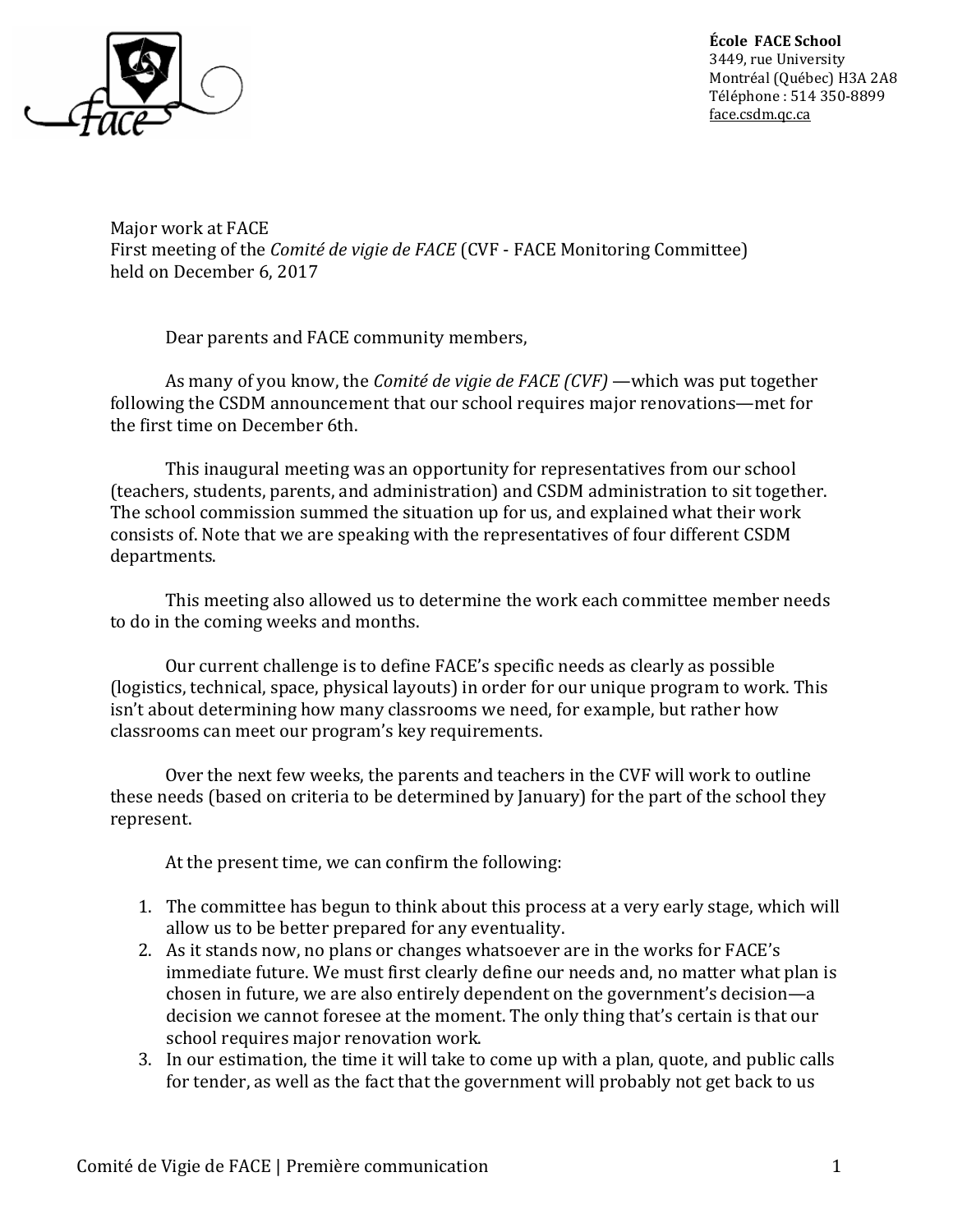

École FACE School 3449, rue University Montréal (Québec) H3A 2A8 Téléphone : 514 350-8899 face.csdm.qc.ca

Major work at FACE First meeting of the Comité de vigie de FACE (CVF - FACE Monitoring Committee) held on December 6, 2017

Dear parents and FACE community members,

As many of you know, the *Comité de vigie de FACE (CVF)* —which was put together following the CSDM announcement that our school requires major renovations—met for the first time on December 6th.

 This inaugural meeting was an opportunity for representatives from our school (teachers, students, parents, and administration) and CSDM administration to sit together. The school commission summed the situation up for us, and explained what their work consists of. Note that we are speaking with the representatives of four different CSDM departments.

 This meeting also allowed us to determine the work each committee member needs to do in the coming weeks and months.

 Our current challenge is to define FACE's specific needs as clearly as possible (logistics, technical, space, physical layouts) in order for our unique program to work. This isn't about determining how many classrooms we need, for example, but rather how classrooms can meet our program's key requirements.

 Over the next few weeks, the parents and teachers in the CVF will work to outline these needs (based on criteria to be determined by January) for the part of the school they represent.

At the present time, we can confirm the following:

- 1. The committee has begun to think about this process at a very early stage, which will allow us to be better prepared for any eventuality.
- 2. As it stands now, no plans or changes whatsoever are in the works for FACE's immediate future. We must first clearly define our needs and, no matter what plan is chosen in future, we are also entirely dependent on the government's decision—a decision we cannot foresee at the moment. The only thing that's certain is that our school requires major renovation work.
- 3. In our estimation, the time it will take to come up with a plan, quote, and public calls for tender, as well as the fact that the government will probably not get back to us